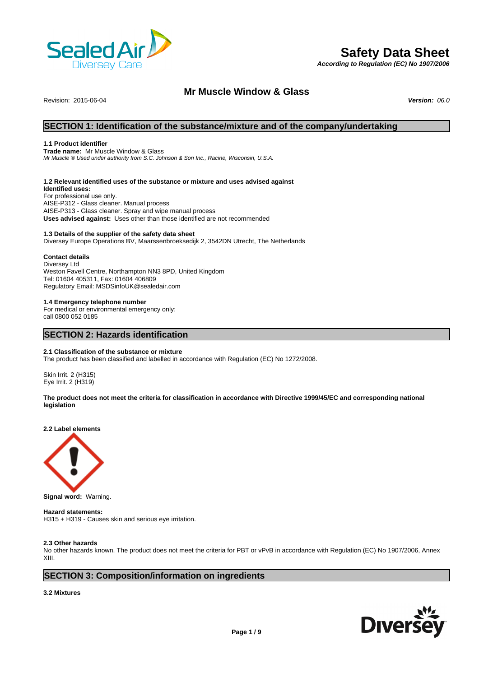

# **Safety Data Sheet**

*According to Regulation (EC) No 1907/2006*

# **Mr Muscle Window & Glass**

Revision: 2015-06-04 *Version: 06.0*

# **SECTION 1: Identification of the substance/mixture and of the company/undertaking**

# **1.1 Product identifier**

**Trade name:** Mr Muscle Window & Glass *Mr Muscle ® Used under authority from S.C. Johnson & Son Inc., Racine, Wisconsin, U.S.A.*

# **1.2 Relevant identified uses of the substance or mixture and uses advised against**

**Identified uses:** For professional use only. AISE-P312 - Glass cleaner. Manual process AISE-P313 - Glass cleaner. Spray and wipe manual process **Uses advised against:** Uses other than those identified are not recommended

# **1.3 Details of the supplier of the safety data sheet**

Diversey Europe Operations BV, Maarssenbroeksedijk 2, 3542DN Utrecht, The Netherlands

# **Contact details**

Diversey Ltd Weston Favell Centre, Northampton NN3 8PD, United Kingdom Tel: 01604 405311, Fax: 01604 406809 Regulatory Email: MSDSinfoUK@sealedair.com

# **1.4 Emergency telephone number**

For medical or environmental emergency only: call 0800 052 0185

# **SECTION 2: Hazards identification**

# **2.1 Classification of the substance or mixture**

The product has been classified and labelled in accordance with Regulation (EC) No 1272/2008.

Skin Irrit. 2 (H315) Eye Irrit. 2 (H319)

**The product does not meet the criteria for classification in accordance with Directive 1999/45/EC and corresponding national legislation**

**2.2 Label elements**



**Signal word:** Warning.

# **Hazard statements:**

H315 + H319 - Causes skin and serious eye irritation.

# **2.3 Other hazards**

No other hazards known. The product does not meet the criteria for PBT or vPvB in accordance with Regulation (EC) No 1907/2006, Annex XIII.

# **SECTION 3: Composition/information on ingredients**

# **3.2 Mixtures**

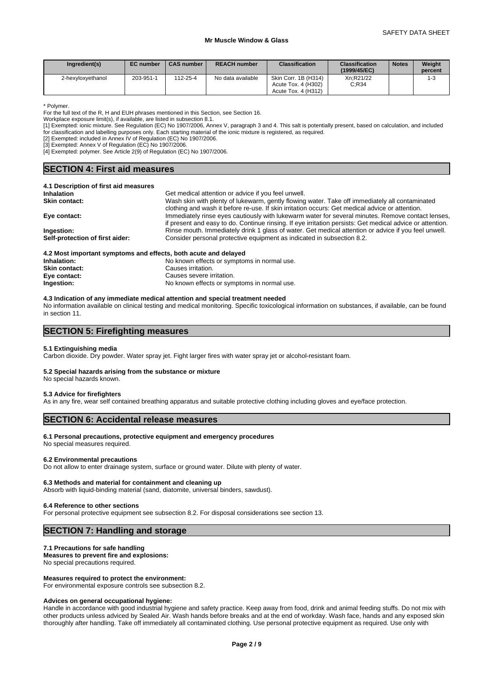| Ingredient(s)     | <b>EC</b> number | <b>CAS number</b> | <b>REACH number</b> | <b>Classification</b>                       | <b>Classification</b><br>(1999/45/EC) | <b>Notes</b> | Weight<br>percent |
|-------------------|------------------|-------------------|---------------------|---------------------------------------------|---------------------------------------|--------------|-------------------|
| 2-hexyloxyethanol | 203-951-1        | 112-25-4          | No data available   | Skin Corr. 1B (H314)<br>Acute Tox. 4 (H302) | Xn:R21/22<br>C:R34                    |              | 1-3               |
|                   |                  |                   |                     | Acute Tox. 4 (H312)                         |                                       |              |                   |

\* Polymer.

For the full text of the R, H and EUH phrases mentioned in this Section, see Section 16.

Workplace exposure limit(s), if available, are listed in subsection 8.1.

[1] Exempted: ionic mixture. See Regulation (EC) No 1907/2006, Annex V, paragraph 3 and 4. This salt is potentially present, based on calculation, and included for classification and labelling purposes only. Each starting material of the ionic mixture is registered, as required.

[2] Exempted: included in Annex IV of Regulation (EC) No 1907/2006.

[3] Exempted: Annex V of Regulation (EC) No 1907/2006.

[4] Exempted: polymer. See Article 2(9) of Regulation (EC) No 1907/2006.

| <b>SECTION 4: First aid measures</b>                       |                                                                                                                                                                                                   |  |  |
|------------------------------------------------------------|---------------------------------------------------------------------------------------------------------------------------------------------------------------------------------------------------|--|--|
| 4.1 Description of first aid measures<br><b>Inhalation</b> | Get medical attention or advice if you feel unwell.                                                                                                                                               |  |  |
| <b>Skin contact:</b>                                       | Wash skin with plenty of lukewarm, gently flowing water. Take off immediately all contaminated<br>clothing and wash it before re-use. If skin irritation occurs: Get medical advice or attention. |  |  |
|                                                            |                                                                                                                                                                                                   |  |  |

| Self-protection of first aider: | Consider personal protective equipment as indicated in subsection 8.2.                                    |
|---------------------------------|-----------------------------------------------------------------------------------------------------------|
| Ingestion:                      | Rinse mouth. Immediately drink 1 glass of water. Get medical attention or advice if you feel unwell.      |
|                                 | if present and easy to do. Continue rinsing. If eye irritation persists: Get medical advice or attention. |
| Eye contact:                    | Immediately rinse eyes cautiously with lukewarm water for several minutes. Remove contact lenses,         |
|                                 | ciothing and wash it before re-use. If skin irritation occurs: Get medical advice or attention.           |

# **4.2 Most important symptoms and effects, both acute and delayed**

**Inhalation:** No known effects or symptoms in normal use. **Skin contact:** Causes irritation.<br> **Eve contact:** Causes severe ir **Causes severe irritation. Ingestion:** No known effects or symptoms in normal use.

#### **4.3 Indication of any immediate medical attention and special treatment needed**

No information available on clinical testing and medical monitoring. Specific toxicological information on substances, if available, can be found in section 11.

# **SECTION 5: Firefighting measures**

# **5.1 Extinguishing media**

Carbon dioxide. Dry powder. Water spray jet. Fight larger fires with water spray jet or alcohol-resistant foam.

# **5.2 Special hazards arising from the substance or mixture**

No special hazards known.

## **5.3 Advice for firefighters**

As in any fire, wear self contained breathing apparatus and suitable protective clothing including gloves and eye/face protection.

# **SECTION 6: Accidental release measures**

# **6.1 Personal precautions, protective equipment and emergency procedures**

No special measures required.

#### **6.2 Environmental precautions**

Do not allow to enter drainage system, surface or ground water. Dilute with plenty of water.

# **6.3 Methods and material for containment and cleaning up**

Absorb with liquid-binding material (sand, diatomite, universal binders, sawdust).

## **6.4 Reference to other sections**

For personal protective equipment see subsection 8.2. For disposal considerations see section 13.

# **SECTION 7: Handling and storage**

## **7.1 Precautions for safe handling**

**Measures to prevent fire and explosions:**

No special precautions required.

# **Measures required to protect the environment:**

For environmental exposure controls see subsection 8.2.

# **Advices on general occupational hygiene:**

Handle in accordance with good industrial hygiene and safety practice. Keep away from food, drink and animal feeding stuffs. Do not mix with other products unless adviced by Sealed Air. Wash hands before breaks and at the end of workday. Wash face, hands and any exposed skin thoroughly after handling. Take off immediately all contaminated clothing. Use personal protective equipment as required. Use only with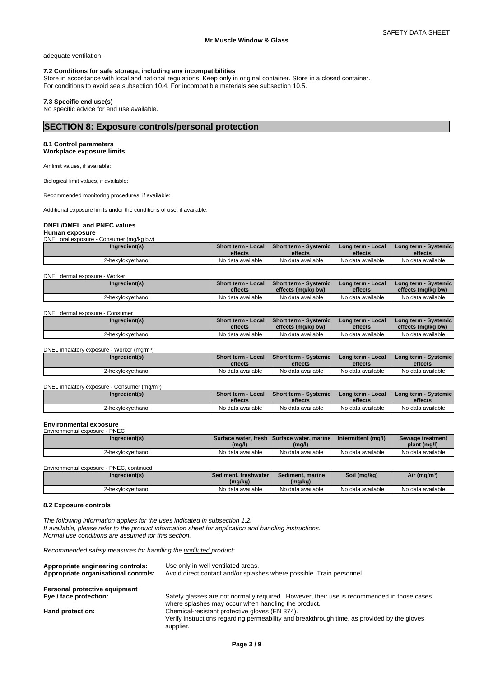adequate ventilation.

# **7.2 Conditions for safe storage, including any incompatibilities**

Store in accordance with local and national regulations. Keep only in original container. Store in a closed container. For conditions to avoid see subsection 10.4. For incompatible materials see subsection 10.5.

# **7.3 Specific end use(s)**

No specific advice for end use available.

# **SECTION 8: Exposure controls/personal protection**

# **8.1 Control parameters**

**Workplace exposure limits**

Air limit values, if available:

Biological limit values, if available:

Recommended monitoring procedures, if available:

Additional exposure limits under the conditions of use, if available:

# **DNEL/DMEL and PNEC values**

**Human exposure** DNEL oral exposure - Consumer (mg/kg bw)

| Ingredient(s)     | <b>Short term - Local</b> | <b>IShort term - Systemich</b> | Long term - Local | I Long term - Systemic i |
|-------------------|---------------------------|--------------------------------|-------------------|--------------------------|
|                   | effects                   | effects                        | effects           | effects                  |
| 2-hexvloxvethanol | No data available         | No data available              | No data available | No data available        |

### DNEL dermal exposure - Worker

| Ingredient(s)     | <b>Short term - Local</b> | Short term - Systemic | Long term - Local | l Long term - Svstemic l |
|-------------------|---------------------------|-----------------------|-------------------|--------------------------|
|                   | effects                   | effects (mg/kg bw)    | effects           | effects (mg/kg bw)       |
| 2-hexvloxvethanol | No data available         | No data available     | No data available | No data available        |

### DNEL dermal exposure - Consumer

| Ingredient(s)     | <b>Short term - Local</b> | <b>Short term - Systemic I</b> | Long term - Local | l Long term - Svstemic l |
|-------------------|---------------------------|--------------------------------|-------------------|--------------------------|
|                   | effects                   | effects (mg/kg bw)             | effects           | effects (mg/kg bw)       |
| 2-hexvloxvethanol | No data available         | No data available              | No data available | No data available        |

DNEL inhalatory exposure - Worker (mg/m<sup>3</sup>)

| Ingredient(s)     | <b>Short term - Local</b> | <b>Short term - Systemic</b> | <b>Long term - Local</b> | <b>I Long term - Systemic I</b> |
|-------------------|---------------------------|------------------------------|--------------------------|---------------------------------|
|                   | effects                   | effects                      | effects                  | effects                         |
| 2-hexyloxyethanol | No data available         | No data available            | No data available        | No data available               |

| DNEL inhalatory exposure - Consumer (mg/m <sup>3</sup> ) |                                      |                                         |                              |                                            |
|----------------------------------------------------------|--------------------------------------|-----------------------------------------|------------------------------|--------------------------------------------|
| Ingredient(s)                                            | <b>Short term - Local</b><br>effects | <b>Short term - Systemic</b><br>effects | Long term - Local<br>effects | <b>I Long term - Systemic I</b><br>effects |
| 2-hexyloxyethanol                                        | No data available                    | No data available                       | No data available            | No data available                          |

# **Environmental exposure** Environmental exposure - PNEC

| Elivilofiliefital exposure - Finec |                   |                                            |                     |                                  |
|------------------------------------|-------------------|--------------------------------------------|---------------------|----------------------------------|
| Ingredient(s)                      | (mg/l)            | Surface water, fresh Surface water, marine | Intermittent (mg/l) | Sewage treatment<br>plant (mg/l) |
|                                    |                   | (mg/l)                                     |                     |                                  |
| 2-hexvloxvethanol                  | No data available | No data available                          | No data available   | No data available                |

| Environmental exposure - PNEC, continued |                          |                   |                   |                          |
|------------------------------------------|--------------------------|-------------------|-------------------|--------------------------|
| Ingredient(s)                            | I Sediment, freshwater I | Sediment, marine  | Soil (mg/kg)      | Air (mg/m <sup>3</sup> ) |
|                                          | (mg/kg)                  | (mg/kg)           |                   |                          |
| 2-hexvloxvethanol                        | No data available        | No data available | No data available | No data available        |

# **8.2 Exposure controls**

*The following information applies for the uses indicated in subsection 1.2. If available, please refer to the product information sheet for application and handling instructions. Normal use conditions are assumed for this section.*

)

*Recommended safety measures for handling the undiluted product:*

| Appropriate engineering controls:<br>Appropriate organisational controls: | Use only in well ventilated areas.<br>Avoid direct contact and/or splashes where possible. Train personnel. |
|---------------------------------------------------------------------------|-------------------------------------------------------------------------------------------------------------|
| Personal protective equipment                                             |                                                                                                             |
| Eye / face protection:                                                    | Safety glasses are not normally required. However, their use is recommended in those cases                  |
|                                                                           | where splashes may occur when handling the product.                                                         |
| Hand protection:                                                          | Chemical-resistant protective gloves (EN 374).                                                              |
|                                                                           | Verify instructions regarding permeability and breakthrough time, as provided by the gloves                 |
|                                                                           | supplier.                                                                                                   |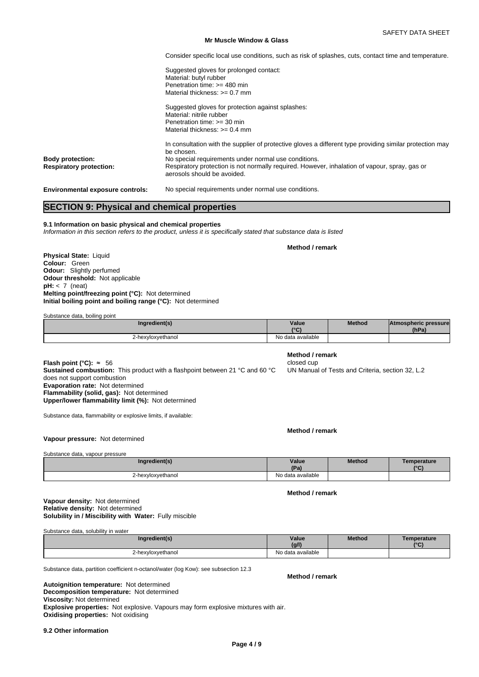Consider specific local use conditions, such as risk of splashes, cuts, contact time and temperature.

Suggested gloves for prolonged contact: Material: butyl rubber Penetration time: >= 480 min Material thickness: >= 0.7 mm

Suggested gloves for protection against splashes: Material: nitrile rubber Penetration time: >= 30 min Material thickness: >= 0.4 mm

In consultation with the supplier of protective gloves a different type providing similar protection may be chosen. **Body protection: No special requirements under normal use conditions.**<br>**Respiratory protection: Respiratory protection is not normally required. Howev Respiratory protection:** Respiratory protection is not normally required. However, inhalation of vapour, spray, gas or aerosols should be avoided.

**Environmental exposure controls:** No special requirements under normal use conditions.

# **SECTION 9: Physical and chemical properties**

**9.1 Information on basic physical and chemical properties** *Information in this section refers to the product, unless it is specifically stated that substance data is listed*

**Physical State:** Liquid **Colour:** Green **Odour:** Slightly perfumed **Odour threshold:** Not applicable **pH:** < 7 (neat) **Melting point/freezing point (°C):** Not determined **Initial boiling point and boiling range (°C):** Not determined

Substance data, boiling point

| Ingredient(s)     | Value<br>10 <sub>0</sub><br>$\sim$ | <b>Method</b> | <b>Atmospheric pressure</b><br>(hPa) |  |
|-------------------|------------------------------------|---------------|--------------------------------------|--|
| 2-hexyloxyethanol | No data available                  |               |                                      |  |

**Flash point (°C):** ≈ 56 closed cup **Sustained combustion:** This product with a flashpoint between 21 °C and 60 °C does not support combustion **Evaporation rate:** Not determined **Flammability (solid, gas):** Not determined **Upper/lower flammability limit (%):** Not determined

Substance data, flammability or explosive limits, if available:

**Method / remark**

**Vapour pressure:** Not determined

| Substance data, vapour pressure |                   |               |  |
|---------------------------------|-------------------|---------------|--|
| Ingredient(s)                   | Value<br>(Pa)     | <b>Method</b> |  |
| 2-hexyloxyethanol               | No data available |               |  |

# **Solubility in / Miscibility with Water:** Fully miscible **Vapour density:** Not determined **Relative density:** Not determined

Substance data, solubility in water

| Ingredient(s)     | Value             | Method | Temperature |
|-------------------|-------------------|--------|-------------|
| $\cdot$ $\cdot$   | (g/l)             |        | 10(1)       |
| 2-hexyloxyethanol | No data available |        |             |

Substance data, partition coefficient n-octanol/water (log Kow): see subsection 12.3

**Decomposition temperature:** Not determined **Autoignition temperature:** Not determined **Viscosity:** Not determined **Explosive properties:** Not explosive. Vapours may form explosive mixtures with air. **Oxidising properties:** Not oxidising

**9.2 Other information**

# **Method / remark**

**Method / remark**

UN Manual of Tests and Criteria, section 32, L.2

**Method Temperature (°C)**

**Method / remark**

**Method / remark**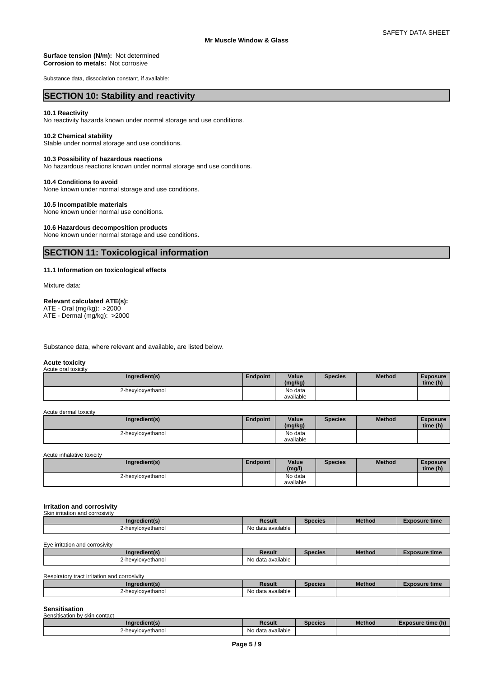# **Surface tension (N/m):** Not determined **Corrosion to metals:** Not corrosive

Substance data, dissociation constant, if available:

# **SECTION 10: Stability and reactivity**

# **10.1 Reactivity**

No reactivity hazards known under normal storage and use conditions.

# **10.2 Chemical stability**

Stable under normal storage and use conditions.

# **10.3 Possibility of hazardous reactions**

No hazardous reactions known under normal storage and use conditions.

# **10.4 Conditions to avoid**

None known under normal storage and use conditions.

# **10.5 Incompatible materials**

None known under normal use conditions.

# **10.6 Hazardous decomposition products**

None known under normal storage and use conditions.

# **SECTION 11: Toxicological information**

# **11.1 Information on toxicological effects**

Mixture data:

# **Relevant calculated ATE(s):**

ATE - Oral (mg/kg): >2000 ATE - Dermal (mg/kg): >2000

Substance data, where relevant and available, are listed below.

#### **Acute toxicity** Acute oral toxicity

| Ingredient(s)     | <b>Endpoint</b> | Value<br>(mg/kg)     | <b>Species</b> | <b>Method</b> | <b>Exposure</b><br>time (h) |
|-------------------|-----------------|----------------------|----------------|---------------|-----------------------------|
| 2-hexvloxvethanol |                 | No data<br>available |                |               |                             |

Acute dermal toxicity

| Ingredient(s)     | <b>Endpoint</b> | Value<br>(mg/kg) | <b>Species</b> | <b>Method</b> | <b>Exposure</b><br>time (h) |
|-------------------|-----------------|------------------|----------------|---------------|-----------------------------|
| 2-hexyloxyethanol |                 | No data          |                |               |                             |
|                   |                 | available        |                |               |                             |

Acute inhalative toxicity

| Ingredient(s)     | <b>Endpoint</b> | Value<br>(mg/l)      | Species | <b>Method</b> | Exposure<br>time (h) |
|-------------------|-----------------|----------------------|---------|---------------|----------------------|
| 2-hexyloxyethanol |                 | No data<br>available |         |               |                      |

#### **Irritation and corrosivity** Skin irritation and corrosivity

| <u>UNITIHUUUUTUU VUITUSIVILV</u> |                   |         |               |                      |  |  |
|----------------------------------|-------------------|---------|---------------|----------------------|--|--|
| (Indredient(s)                   | Result            | Species | <b>Method</b> | <b>Exposure time</b> |  |  |
| 2-hexvloxvethanol                | No data available |         |               |                      |  |  |

Eye irritation and corrosivity

| Ingredient(s           | Result            | Species | <b>Method</b> | osure time<br>- A L |
|------------------------|-------------------|---------|---------------|---------------------|
| kvloxvethanol<br>∠-hey | No data available |         |               |                     |

Respiratory tract irritation and corrosivity

| ingredient(s)     | Result            | <b>Species</b> | <b>Method</b> | osure time |
|-------------------|-------------------|----------------|---------------|------------|
| 2-hexvloxvethanol | No data available |                |               |            |

#### **Sensitisation** Sensitisation by skin contact

| <b>OCHORDOMOTI DY SIMIT CONTACT</b> |                                |         |               |      |  |
|-------------------------------------|--------------------------------|---------|---------------|------|--|
|                                     | Result                         | Species | <b>Method</b> | чин. |  |
| -hexvloxvethanol                    | data available<br>$\mathbf{N}$ |         |               |      |  |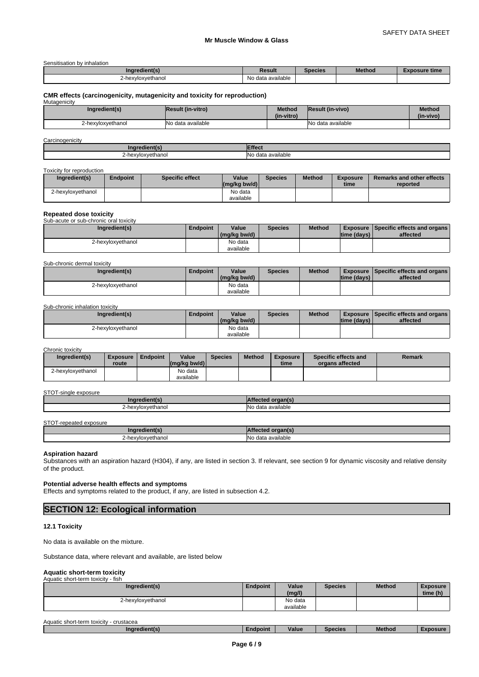Sensitisation by inhalation

| $\cdots$<br>Ingredient(s) | Result                 | Species | <b>Method</b> | Exposure time |
|---------------------------|------------------------|---------|---------------|---------------|
| 2-hexvloxvethanol<br>.    | .<br>No data available |         |               |               |

# **CMR effects (carcinogenicity, mutagenicity and toxicity for reproduction)** Mutagenicity

| <b>IVIULAY IIIUILY</b> |                           |                             |                         |                            |
|------------------------|---------------------------|-----------------------------|-------------------------|----------------------------|
| Ingredient(s)          | <b>IResult (in-vitro)</b> | <b>Method</b><br>(in-vitro) | <b>Result (in-vivo)</b> | <b>Method</b><br>(in-vivo) |
| 2-hexvloxvethanol      | INo data available        |                             | INo data available      |                            |

# **Carcinogenicity**

| nar                                   | <b>JOP</b>                                                 |
|---------------------------------------|------------------------------------------------------------|
| <b>Prienti</b>                        | ייי                                                        |
| xvloxvethanol<br>how<br><u>_ 1157</u> | $\cdot$ .<br>No<br>available<br>. A <sub>0</sub><br>uala d |

#### Toxicity for reproduction

| Ingredient(s)     | Endpoint | Specific effect | Value<br>$(mg/kg)$ bw/d) | <b>Species</b> | <b>Method</b> | <b>Exposure</b><br>time | <b>Remarks and other effects</b><br>reported |
|-------------------|----------|-----------------|--------------------------|----------------|---------------|-------------------------|----------------------------------------------|
| 2-hexvloxvethanol |          |                 | No data<br>available     |                |               |                         |                                              |

# **Repeated dose toxicity**

| Sub-acute or sub-chronic oral toxicity |          |              |                |               |             |                                               |
|----------------------------------------|----------|--------------|----------------|---------------|-------------|-----------------------------------------------|
| Ingredient(s)                          | Endpoint | Value        | <b>Species</b> | <b>Method</b> |             | <b>Exposure Specific effects and organs L</b> |
|                                        |          | (mg/kg bw/d) |                |               | time (days) | affected                                      |
| 2-hexyloxyethanol                      |          | No data      |                |               |             |                                               |
|                                        |          | available    |                |               |             |                                               |

Sub-chronic dermal toxicity

| Ingredient(s)     | <b>Endpoint</b> | Value<br>(mg/kg bw/d) | Species | <b>Method</b> | $\lim_{\theta}$ (days) | <b>Exposure Specific effects and organs</b><br>affected |
|-------------------|-----------------|-----------------------|---------|---------------|------------------------|---------------------------------------------------------|
| 2-hexyloxyethanol |                 | No data<br>available  |         |               |                        |                                                         |

### Sub-chronic inhalation toxicity

| Ingredient(s)     | <b>Endpoint</b> | Value        | Species | <b>Method</b> |             | <b>Exposure Specific effects and organs</b> |
|-------------------|-----------------|--------------|---------|---------------|-------------|---------------------------------------------|
|                   |                 | (mg/kg bw/d) |         |               | time (days) | affected                                    |
| 2-hexvloxvethanol |                 | No data      |         |               |             |                                             |
|                   |                 | available    |         |               |             |                                             |

# Chronic toxicity

| Ingredient(s)     | <b>Exposure</b> | Endpoint | Value                                                   | <b>Species</b> | <b>Method</b> | <b>Exposure</b> | Specific effects and | Remark |
|-------------------|-----------------|----------|---------------------------------------------------------|----------------|---------------|-----------------|----------------------|--------|
|                   | <b>route</b>    |          | $\left \frac{\text{mg}}{\text{kg}}\right $ (mg/kg bw/d) |                |               | time            | organs affected      |        |
| 2-hexvloxvethanol |                 |          | No data                                                 |                |               |                 |                      |        |
|                   |                 |          | available                                               |                |               |                 |                      |        |

### STOT-single exposure

| <b>Ingredient(s</b> |                                                       |
|---------------------|-------------------------------------------------------|
| -hexyloxyethanol    | $\sim$<br>available<br>A <sub>0</sub><br>$\mathbf{u}$ |

#### STOT-repeated exposure

| redient(<br>Ing   |                                                   |
|-------------------|---------------------------------------------------|
| !-hexvloxvethanol | $\cdots$<br>a available<br>-INC<br>$\sim$<br>uala |

# **Aspiration hazard**

Substances with an aspiration hazard (H304), if any, are listed in section 3. If relevant, see section 9 for dynamic viscosity and relative density of the product.

# **Potential adverse health effects and symptoms**

Effects and symptoms related to the product, if any, are listed in subsection 4.2.

# **SECTION 12: Ecological information**

# **12.1 Toxicity**

No data is available on the mixture.

Substance data, where relevant and available, are listed below

#### **Aquatic short-term toxicity** Aquatic short-term toxicity - fish

| No data<br>2-hexyloxyethanol<br>available | Ingredient(s) | Endpoint | Value<br>(mg/l) | <b>Species</b> | <b>Method</b> | <b>Exposure</b><br>time (h) |
|-------------------------------------------|---------------|----------|-----------------|----------------|---------------|-----------------------------|
|                                           |               |          |                 |                |               |                             |

| Aquatic | crustacea<br>ು short-term toxicitv_ |          |              |         |               |               |
|---------|-------------------------------------|----------|--------------|---------|---------------|---------------|
|         | .<br>Ingredient(s)                  | Endpoint | . .<br>Value | Species | <b>Method</b> | <b>posure</b> |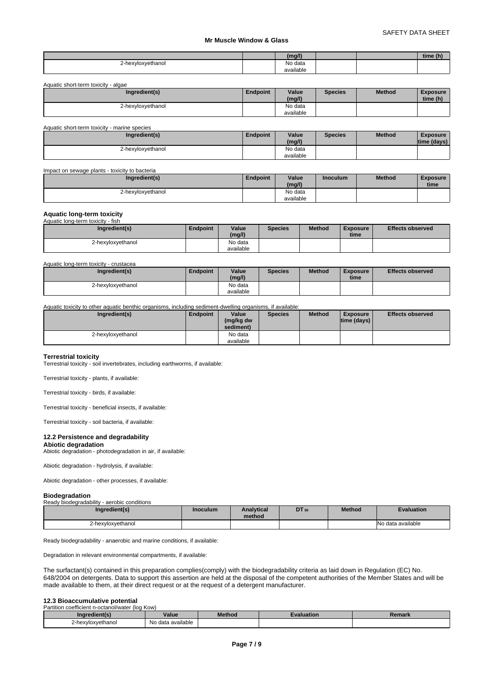|                                     |           |  | $\sim$<br>time<br>: (N) |
|-------------------------------------|-----------|--|-------------------------|
| hexyloxyethanol<br><b>LEAT</b><br>. | No data   |  |                         |
|                                     | available |  |                         |

Aquatic short-term toxicity - algae

| Ingredient(s)     | Endpoint | Value<br>(mg/l) | <b>Species</b> | <b>Method</b> | <b>Exposure</b><br>time (h) |
|-------------------|----------|-----------------|----------------|---------------|-----------------------------|
| 2-hexyloxyethanol |          | No data         |                |               |                             |
|                   |          | available       |                |               |                             |

| Aquatic short-term toxicity - marine species |                 |           |                |               |                 |
|----------------------------------------------|-----------------|-----------|----------------|---------------|-----------------|
| Ingredient(s)                                | <b>Endpoint</b> | Value     | <b>Species</b> | <b>Method</b> | <b>Exposure</b> |
|                                              |                 | (mg/l)    |                |               | time (days)     |
| 2-hexyloxyethanol                            |                 | No data   |                |               |                 |
|                                              |                 | available |                |               |                 |

| Impact on sewage plants - toxicity to bacteria |                 |           |                 |               |                 |  |  |
|------------------------------------------------|-----------------|-----------|-----------------|---------------|-----------------|--|--|
| Ingredient(s)                                  | <b>Endpoint</b> | Value     | <b>Inoculum</b> | <b>Method</b> | <b>Exposure</b> |  |  |
|                                                |                 | (mg/l)    |                 |               | time            |  |  |
| 2-hexyloxyethanol                              |                 | No data   |                 |               |                 |  |  |
|                                                |                 | available |                 |               |                 |  |  |

# **Aquatic long-term toxicity**

| Aquatic long-term toxicity - fish |                 |           |                |               |                 |                         |  |  |
|-----------------------------------|-----------------|-----------|----------------|---------------|-----------------|-------------------------|--|--|
| Ingredient(s)                     | <b>Endpoint</b> | Value     | <b>Species</b> | <b>Method</b> | <b>Exposure</b> | <b>Effects observed</b> |  |  |
|                                   |                 | (mg/l)    |                |               | time            |                         |  |  |
| 2-hexyloxyethanol                 |                 | No data   |                |               |                 |                         |  |  |
|                                   |                 | available |                |               |                 |                         |  |  |

Aquatic long-term toxicity - crustacea

| Ingredient(s)     | Endpoint | Value<br>(mg/l)      | <b>Species</b> | <b>Method</b> | <b>Exposure</b><br>time | <b>Effects observed</b> |
|-------------------|----------|----------------------|----------------|---------------|-------------------------|-------------------------|
| 2-hexyloxyethanol |          | No data<br>available |                |               |                         |                         |

Aquatic toxicity to other aquatic benthic organisms, including sediment-dwelling organisms, if available:

| Ingredient(s)     | Endpoint | Value<br>(mg/kg dw<br>sediment) | <b>Species</b> | <b>Method</b> | <b>Exposure</b><br>$ time$ (days) $ $ | <b>Effects observed</b> |
|-------------------|----------|---------------------------------|----------------|---------------|---------------------------------------|-------------------------|
| 2-hexyloxyethanol |          | No data<br>available            |                |               |                                       |                         |

# **Terrestrial toxicity**

Terrestrial toxicity - soil invertebrates, including earthworms, if available:

Terrestrial toxicity - plants, if available:

Terrestrial toxicity - birds, if available:

Terrestrial toxicity - beneficial insects, if available:

Terrestrial toxicity - soil bacteria, if available:

# **12.2 Persistence and degradability**

**Abiotic degradation** Abiotic degradation - photodegradation in air, if available:

Abiotic degradation - hydrolysis, if available:

Abiotic degradation - other processes, if available:

# **Biodegradation**

| Ready biodegradability - aerobic conditions |          |                             |              |               |                   |
|---------------------------------------------|----------|-----------------------------|--------------|---------------|-------------------|
| Ingredient(s)                               | Inoculum | <b>Analytical</b><br>method | <b>DT</b> 50 | <b>Method</b> | <b>Evaluation</b> |
| 2-hexyloxyethanol                           |          |                             |              |               | No data available |

Ready biodegradability - anaerobic and marine conditions, if available:

Degradation in relevant environmental compartments, if available:

The surfactant(s) contained in this preparation complies(comply) with the biodegradability criteria as laid down in Regulation (EC) No. 648/2004 on detergents. Data to support this assertion are held at the disposal of the competent authorities of the Member States and will be made available to them, at their direct request or at the request of a detergent manufacturer.

### **12.3 Bioaccumulative potential**

| Jn coefficient n-octanol/water (log Kow)<br>Partition |                   |        |                   |        |  |  |  |  |
|-------------------------------------------------------|-------------------|--------|-------------------|--------|--|--|--|--|
| ingredient(s)                                         | Value             | Method | <b>Evaluation</b> | Remark |  |  |  |  |
| 2-hexyloxyethanol                                     | No data available |        |                   |        |  |  |  |  |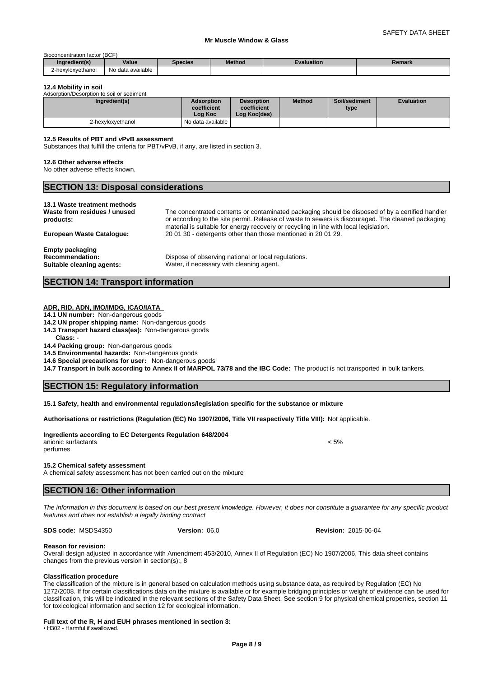# Bioconcentration factor (BCF)

| inaredient(s)     | Value                  | Species | <b>Method</b> | Evaluation | Remark |
|-------------------|------------------------|---------|---------------|------------|--------|
| 2-hexyloxyethanol | o data available<br>No |         |               |            |        |

## **12.4 Mobility in soil**

| Adsorption/Desorption to soil or sediment |                                             |                                                  |               |                       |                   |  |  |  |  |
|-------------------------------------------|---------------------------------------------|--------------------------------------------------|---------------|-----------------------|-------------------|--|--|--|--|
| Ingredient(s)                             | <b>Adsorption</b><br>coefficient<br>Log Koc | <b>Desorption</b><br>coefficient<br>Log Koc(des) | <b>Method</b> | Soil/sediment<br>type | <b>Evaluation</b> |  |  |  |  |
| 2-hexvloxvethanol                         | l No data available                         |                                                  |               |                       |                   |  |  |  |  |

### **12.5 Results of PBT and vPvB assessment**

Substances that fulfill the criteria for PBT/vPvB, if any, are listed in section 3.

#### **12.6 Other adverse effects**

No other adverse effects known.

# **SECTION 13: Disposal considerations 13.1 Waste treatment methods Waste from residues / unused products:** The concentrated contents or contaminated packaging should be disposed of by a certified handler or according to the site permit. Release of waste to sewers is discouraged. The cleaned packaging material is suitable for energy recovery or recycling in line with local legislation. **European Waste Catalogue:** 20 01 30 - detergents other than those mentioned in 20 01 29.

**Empty packaging**

**Recommendation:** Dispose of observing national or local regulations.<br> **Suitable cleaning agents:** Water, if necessary with cleaning agent. Water, if necessary with cleaning agent.

# **SECTION 14: Transport information**

# **ADR, RID, ADN, IMO/IMDG, ICAO/IATA**

**14.1 UN number:** Non-dangerous goods

- **14.2 UN proper shipping name:** Non-dangerous goods
- **14.3 Transport hazard class(es):** Non-dangerous goods

**Class:** -

**14.4 Packing group:** Non-dangerous goods

**14.5 Environmental hazards:** Non-dangerous goods

**14.6 Special precautions for user:** Non-dangerous goods

**14.7 Transport in bulk according to Annex II of MARPOL 73/78 and the IBC Code:** The product is not transported in bulk tankers.

# **SECTION 15: Regulatory information**

**15.1 Safety, health and environmental regulations/legislation specific for the substance or mixture**

**Authorisations or restrictions (Regulation (EC) No 1907/2006, Title VII respectively Title VIII):** Not applicable.

#### **Ingredients according to EC Detergents Regulation 648/2004** anionic surfactants < 5% perfumes

**15.2 Chemical safety assessment**

A chemical safety assessment has not been carried out on the mixture

**SECTION 16: Other information** 

*The information in this document is based on our best present knowledge. However, it does not constitute a guarantee for any specific product features and does not establish a legally binding contract*

**SDS code:** MSDS4350

**Reason for revision:**

Overall design adjusted in accordance with Amendment 453/2010, Annex II of Regulation (EC) No 1907/2006, This data sheet contains changes from the previous version in section(s):, 8

### **Classification procedure**

The classification of the mixture is in general based on calculation methods using substance data, as required by Regulation (EC) No 1272/2008. If for certain classifications data on the mixture is available or for example bridging principles or weight of evidence can be used for classification, this will be indicated in the relevant sections of the Safety Data Sheet. See section 9 for physical chemical properties, section 11 for toxicological information and section 12 for ecological information.

**Full text of the R, H and EUH phrases mentioned in section 3:**

• H302 - Harmful if swallowed.

**Version:** 06.0 **Revision:** 2015-06-04